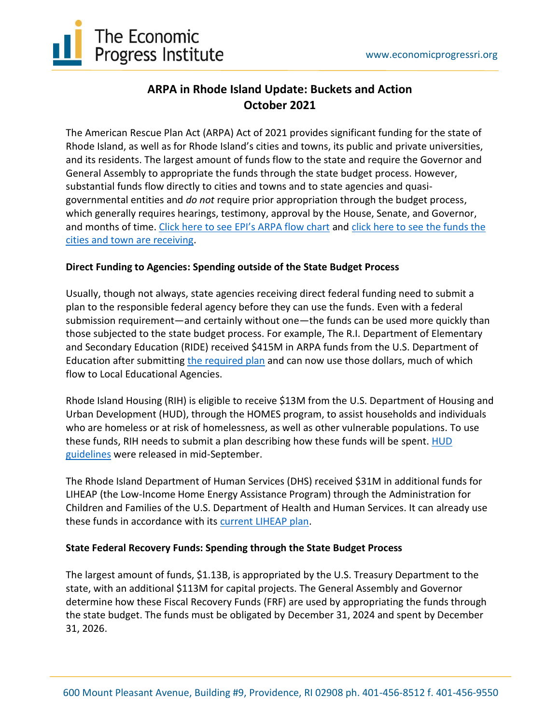

## **ARPA in Rhode Island Update: Buckets and Action October 2021**

The American Rescue Plan Act (ARPA) Act of 2021 provides significant funding for the state of Rhode Island, as well as for Rhode Island's cities and towns, its public and private universities, and its residents. The largest amount of funds flow to the state and require the Governor and General Assembly to appropriate the funds through the state budget process. However, substantial funds flow directly to cities and towns and to state agencies and quasigovernmental entities and *do not* require prior appropriation through the budget process, which generally requires hearings, testimony, approval by the House, Senate, and Governor, and months of time. [Click here to see EPI's ARPA flow chart](http://www.economicprogressri.org/wp-content/uploads/2021/08/ARP-Flow-Chart-FINAL.pdf) and [click here to see the funds the](http://www.economicprogressri.org/wp-content/uploads/2021/10/Economic-Progress-Institute-ARPA-Local-Fiscal-Recovery-Funds-Factsheet-FINAL.pdf)  [cities and town are receiving.](http://www.economicprogressri.org/wp-content/uploads/2021/10/Economic-Progress-Institute-ARPA-Local-Fiscal-Recovery-Funds-Factsheet-FINAL.pdf)

## **Direct Funding to Agencies: Spending outside of the State Budget Process**

Usually, though not always, state agencies receiving direct federal funding need to submit a plan to the responsible federal agency before they can use the funds. Even with a federal submission requirement—and certainly without one—the funds can be used more quickly than those subjected to the state budget process. For example, The R.I. Department of Elementary and Secondary Education (RIDE) received \$415M in ARPA funds from the U.S. Department of Education after submitting [the required plan](https://oese.ed.gov/files/2021/06/Rhode-Island-ARP-ESSER-State-Plan.pdf) and can now use those dollars, much of which flow to Local Educational Agencies.

Rhode Island Housing (RIH) is eligible to receive \$13M from the U.S. Department of Housing and Urban Development (HUD), through the HOMES program, to assist households and individuals who are homeless or at risk of homelessness, as well as other vulnerable populations. To use these funds, RIH needs to submit a plan describing how these funds will be spent. [HUD](https://www.hud.gov/sites/dfiles/OCHCO/documents/2021-10cpdn.pdf)  [guidelines](https://www.hud.gov/sites/dfiles/OCHCO/documents/2021-10cpdn.pdf) were released in mid-September.

The Rhode Island Department of Human Services (DHS) received \$31M in additional funds for LIHEAP (the Low-Income Home Energy Assistance Program) through the Administration for Children and Families of the U.S. Department of Health and Human Services. It can already use these funds in accordance with its [current LIHEAP plan.](https://dhs.ri.gov/regulations/state-plans)

## **State Federal Recovery Funds: Spending through the State Budget Process**

The largest amount of funds, \$1.13B, is appropriated by the U.S. Treasury Department to the state, with an additional \$113M for capital projects. The General Assembly and Governor determine how these Fiscal Recovery Funds (FRF) are used by appropriating the funds through the state budget. The funds must be obligated by December 31, 2024 and spent by December 31, 2026.